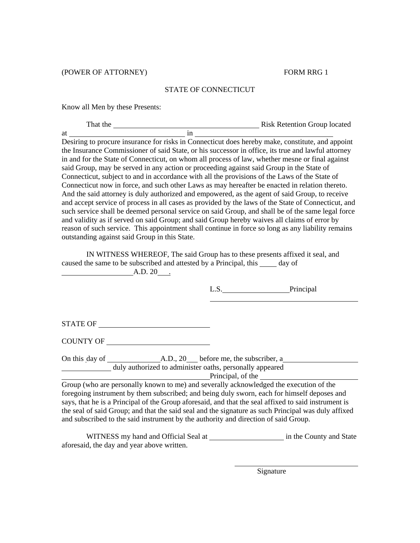(POWER OF ATTORNEY) FORM RRG 1

## STATE OF CONNECTICUT

Know all Men by these Presents:

| That the | <b>Risk Retention Group located</b> |
|----------|-------------------------------------|
| at       |                                     |

Desiring to procure insurance for risks in Connecticut does hereby make, constitute, and appoint the Insurance Commissioner of said State, or his successor in office, its true and lawful attorney in and for the State of Connecticut, on whom all process of law, whether mesne or final against said Group, may be served in any action or proceeding against said Group in the State of Connecticut, subject to and in accordance with all the provisions of the Laws of the State of Connecticut now in force, and such other Laws as may hereafter be enacted in relation thereto. And the said attorney is duly authorized and empowered, as the agent of said Group, to receive and accept service of process in all cases as provided by the laws of the State of Connecticut, and such service shall be deemed personal service on said Group, and shall be of the same legal force and validity as if served on said Group; and said Group hereby waives all claims of error by reason of such service. This appointment shall continue in force so long as any liability remains outstanding against said Group in this State.

 IN WITNESS WHEREOF, The said Group has to these presents affixed it seal, and caused the same to be subscribed and attested by a Principal, this \_\_\_\_\_ day of A.D. 20 .

|                                                                                                      | L.S.              | Principal |  |  |
|------------------------------------------------------------------------------------------------------|-------------------|-----------|--|--|
|                                                                                                      |                   |           |  |  |
| STATE OF                                                                                             |                   |           |  |  |
| COUNTY OF                                                                                            |                   |           |  |  |
| On this day of A.D., 20 before me, the subscriber, a                                                 |                   |           |  |  |
| duly authorized to administer oaths, personally appeared                                             | Principal, of the |           |  |  |
| Group (who are personally known to me) and severally acknowledged the execution of the               |                   |           |  |  |
| foregoing instrument by them subscribed; and being duly sworn, each for himself deposes and          |                   |           |  |  |
| says, that he is a Principal of the Group aforesaid, and that the seal affixed to said instrument is |                   |           |  |  |
| the seal of said Group; and that the said seal and the signature as such Principal was duly affixed  |                   |           |  |  |
| and subscribed to the said instrument by the authority and direction of said Group.                  |                   |           |  |  |

WITNESS my hand and Official Seal at in the County and State aforesaid, the day and year above written.

Signature